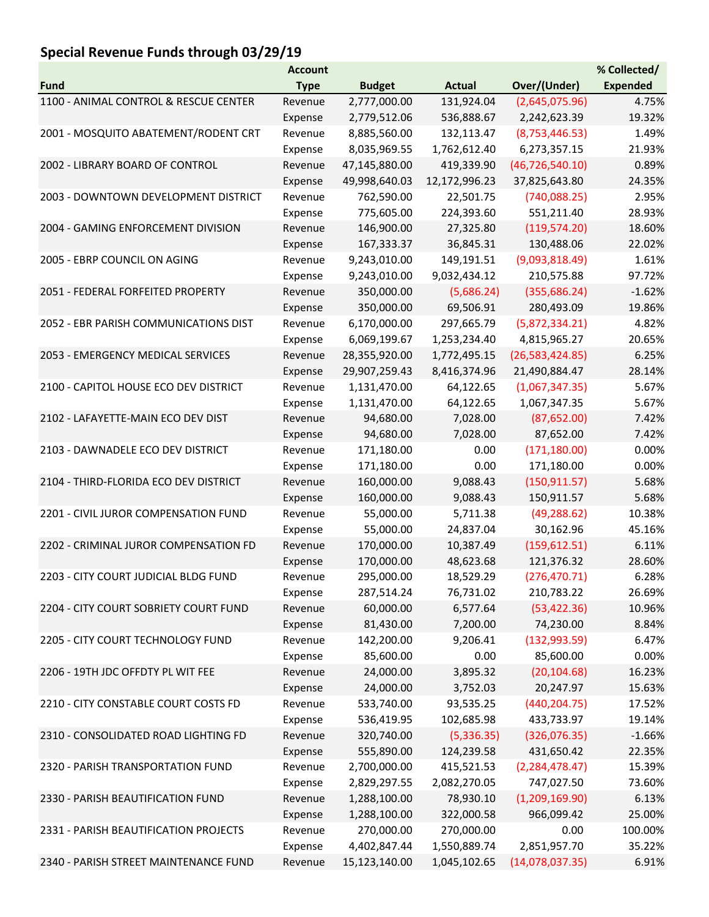## Special Revenue Funds through 03/29/19

|                                       | <b>Account</b> |               |               |                   | % Collected/    |
|---------------------------------------|----------------|---------------|---------------|-------------------|-----------------|
| <b>Fund</b>                           | <b>Type</b>    | <b>Budget</b> | <b>Actual</b> | Over/(Under)      | <b>Expended</b> |
| 1100 - ANIMAL CONTROL & RESCUE CENTER | Revenue        | 2,777,000.00  | 131,924.04    | (2,645,075.96)    | 4.75%           |
|                                       | Expense        | 2,779,512.06  | 536,888.67    | 2,242,623.39      | 19.32%          |
| 2001 - MOSQUITO ABATEMENT/RODENT CRT  | Revenue        | 8,885,560.00  | 132,113.47    | (8,753,446.53)    | 1.49%           |
|                                       | Expense        | 8,035,969.55  | 1,762,612.40  | 6,273,357.15      | 21.93%          |
| 2002 - LIBRARY BOARD OF CONTROL       | Revenue        | 47,145,880.00 | 419,339.90    | (46, 726, 540.10) | 0.89%           |
|                                       | Expense        | 49,998,640.03 | 12,172,996.23 | 37,825,643.80     | 24.35%          |
| 2003 - DOWNTOWN DEVELOPMENT DISTRICT  | Revenue        | 762,590.00    | 22,501.75     | (740,088.25)      | 2.95%           |
|                                       | Expense        | 775,605.00    | 224,393.60    | 551,211.40        | 28.93%          |
| 2004 - GAMING ENFORCEMENT DIVISION    | Revenue        | 146,900.00    | 27,325.80     | (119, 574.20)     | 18.60%          |
|                                       | Expense        | 167,333.37    | 36,845.31     | 130,488.06        | 22.02%          |
| 2005 - EBRP COUNCIL ON AGING          | Revenue        | 9,243,010.00  | 149,191.51    | (9,093,818.49)    | 1.61%           |
|                                       | Expense        | 9,243,010.00  | 9,032,434.12  | 210,575.88        | 97.72%          |
| 2051 - FEDERAL FORFEITED PROPERTY     | Revenue        | 350,000.00    | (5,686.24)    | (355, 686.24)     | $-1.62%$        |
|                                       | Expense        | 350,000.00    | 69,506.91     | 280,493.09        | 19.86%          |
| 2052 - EBR PARISH COMMUNICATIONS DIST | Revenue        | 6,170,000.00  | 297,665.79    | (5,872,334.21)    | 4.82%           |
|                                       | Expense        | 6,069,199.67  | 1,253,234.40  | 4,815,965.27      | 20.65%          |
| 2053 - EMERGENCY MEDICAL SERVICES     | Revenue        | 28,355,920.00 | 1,772,495.15  | (26, 583, 424.85) | 6.25%           |
|                                       | Expense        | 29,907,259.43 | 8,416,374.96  | 21,490,884.47     | 28.14%          |
| 2100 - CAPITOL HOUSE ECO DEV DISTRICT | Revenue        | 1,131,470.00  | 64,122.65     | (1,067,347.35)    | 5.67%           |
|                                       | Expense        | 1,131,470.00  | 64,122.65     | 1,067,347.35      | 5.67%           |
| 2102 - LAFAYETTE-MAIN ECO DEV DIST    | Revenue        | 94,680.00     | 7,028.00      | (87,652.00)       | 7.42%           |
|                                       | Expense        | 94,680.00     | 7,028.00      | 87,652.00         | 7.42%           |
| 2103 - DAWNADELE ECO DEV DISTRICT     | Revenue        | 171,180.00    | 0.00          | (171, 180.00)     | 0.00%           |
|                                       | Expense        | 171,180.00    | 0.00          | 171,180.00        | 0.00%           |
| 2104 - THIRD-FLORIDA ECO DEV DISTRICT | Revenue        | 160,000.00    | 9,088.43      | (150, 911.57)     | 5.68%           |
|                                       | Expense        | 160,000.00    | 9,088.43      | 150,911.57        | 5.68%           |
| 2201 - CIVIL JUROR COMPENSATION FUND  | Revenue        | 55,000.00     | 5,711.38      | (49, 288.62)      | 10.38%          |
|                                       | Expense        | 55,000.00     | 24,837.04     | 30,162.96         | 45.16%          |
| 2202 - CRIMINAL JUROR COMPENSATION FD | Revenue        | 170,000.00    | 10,387.49     | (159, 612.51)     | 6.11%           |
|                                       | Expense        | 170,000.00    | 48,623.68     | 121,376.32        | 28.60%          |
| 2203 - CITY COURT JUDICIAL BLDG FUND  | Revenue        | 295,000.00    | 18,529.29     | (276, 470.71)     | 6.28%           |
|                                       | Expense        | 287,514.24    | 76,731.02     | 210,783.22        | 26.69%          |
| 2204 - CITY COURT SOBRIETY COURT FUND | Revenue        | 60,000.00     | 6,577.64      | (53, 422.36)      | 10.96%          |
|                                       | Expense        | 81,430.00     | 7,200.00      | 74,230.00         | 8.84%           |
| 2205 - CITY COURT TECHNOLOGY FUND     | Revenue        | 142,200.00    | 9,206.41      | (132, 993.59)     | 6.47%           |
|                                       | Expense        | 85,600.00     | 0.00          | 85,600.00         | 0.00%           |
| 2206 - 19TH JDC OFFDTY PL WIT FEE     | Revenue        | 24,000.00     | 3,895.32      | (20, 104.68)      | 16.23%          |
|                                       | Expense        | 24,000.00     | 3,752.03      | 20,247.97         | 15.63%          |
| 2210 - CITY CONSTABLE COURT COSTS FD  | Revenue        | 533,740.00    | 93,535.25     | (440, 204.75)     | 17.52%          |
|                                       | Expense        | 536,419.95    | 102,685.98    | 433,733.97        | 19.14%          |
| 2310 - CONSOLIDATED ROAD LIGHTING FD  | Revenue        | 320,740.00    | (5,336.35)    | (326,076.35)      | $-1.66%$        |
|                                       | Expense        | 555,890.00    | 124,239.58    | 431,650.42        | 22.35%          |
| 2320 - PARISH TRANSPORTATION FUND     | Revenue        | 2,700,000.00  | 415,521.53    | (2, 284, 478.47)  | 15.39%          |
|                                       | Expense        | 2,829,297.55  | 2,082,270.05  | 747,027.50        | 73.60%          |
| 2330 - PARISH BEAUTIFICATION FUND     | Revenue        | 1,288,100.00  | 78,930.10     | (1,209,169.90)    | 6.13%           |
|                                       | Expense        | 1,288,100.00  | 322,000.58    | 966,099.42        | 25.00%          |
| 2331 - PARISH BEAUTIFICATION PROJECTS | Revenue        | 270,000.00    | 270,000.00    | 0.00              | 100.00%         |
|                                       | Expense        | 4,402,847.44  | 1,550,889.74  | 2,851,957.70      | 35.22%          |
| 2340 - PARISH STREET MAINTENANCE FUND | Revenue        | 15,123,140.00 | 1,045,102.65  | (14,078,037.35)   | 6.91%           |